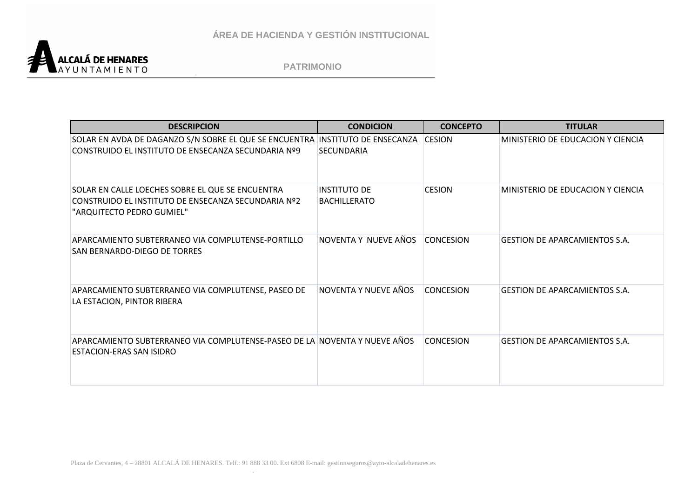

| <b>DESCRIPCION</b>                                                                                                                   | <b>CONDICION</b>                           | <b>CONCEPTO</b>  | <b>TITULAR</b>                       |
|--------------------------------------------------------------------------------------------------------------------------------------|--------------------------------------------|------------------|--------------------------------------|
| SOLAR EN AVDA DE DAGANZO S/N SOBRE EL QUE SE ENCUENTRA INSTITUTO DE ENSECANZA<br>CONSTRUIDO EL INSTITUTO DE ENSECANZA SECUNDARIA Nº9 | <b>SECUNDARIA</b>                          | <b>CESION</b>    | MINISTERIO DE EDUCACION Y CIENCIA    |
| SOLAR EN CALLE LOECHES SOBRE EL QUE SE ENCUENTRA<br>CONSTRUIDO EL INSTITUTO DE ENSECANZA SECUNDARIA Nº2<br>"ARQUITECTO PEDRO GUMIEL" | <b>INSTITUTO DE</b><br><b>BACHILLERATO</b> | <b>CESION</b>    | MINISTERIO DE EDUCACION Y CIENCIA    |
| APARCAMIENTO SUBTERRANEO VIA COMPLUTENSE-PORTILLO<br>SAN BERNARDO-DIEGO DE TORRES                                                    | NOVENTA Y NUEVE AÑOS                       | <b>CONCESION</b> | <b>GESTION DE APARCAMIENTOS S.A.</b> |
| APARCAMIENTO SUBTERRANEO VIA COMPLUTENSE, PASEO DE<br>LA ESTACION, PINTOR RIBERA                                                     | NOVENTA Y NUEVE AÑOS                       | <b>CONCESION</b> | <b>GESTION DE APARCAMIENTOS S.A.</b> |
| APARCAMIENTO SUBTERRANEO VIA COMPLUTENSE-PASEO DE LA NOVENTA Y NUEVE AÑOS<br><b>ESTACION-ERAS SAN ISIDRO</b>                         |                                            | <b>CONCESION</b> | <b>GESTION DE APARCAMIENTOS S.A.</b> |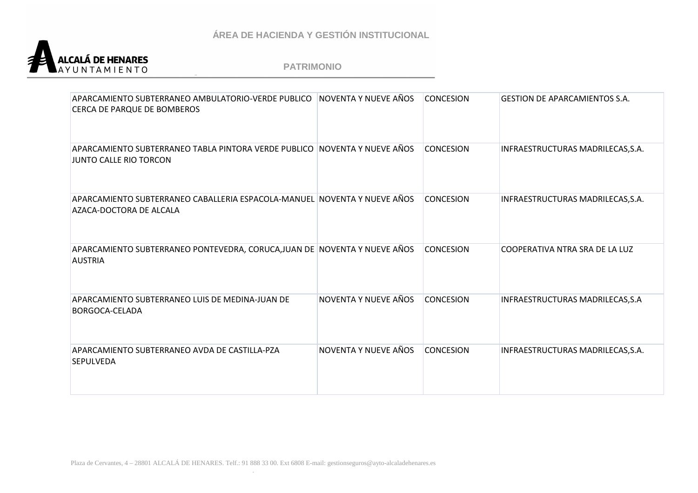

| APARCAMIENTO SUBTERRANEO AMBULATORIO-VERDE PUBLICO NOVENTA Y NUEVE AÑOS<br>CERCA DE PARQUE DE BOMBEROS     |                      | <b>CONCESION</b> | <b>GESTION DE APARCAMIENTOS S.A.</b> |
|------------------------------------------------------------------------------------------------------------|----------------------|------------------|--------------------------------------|
| APARCAMIENTO SUBTERRANEO TABLA PINTORA VERDE PUBLICO NOVENTA Y NUEVE AÑOS<br><b>JUNTO CALLE RIO TORCON</b> |                      | <b>CONCESION</b> | INFRAESTRUCTURAS MADRILECAS, S.A.    |
| APARCAMIENTO SUBTERRANEO CABALLERIA ESPACOLA-MANUEL NOVENTA Y NUEVE AÑOS<br>AZACA-DOCTORA DE ALCALA        |                      | <b>CONCESION</b> | INFRAESTRUCTURAS MADRILECAS, S.A.    |
| APARCAMIENTO SUBTERRANEO PONTEVEDRA, CORUCA, JUAN DE NOVENTA Y NUEVE AÑOS<br><b>AUSTRIA</b>                |                      | <b>CONCESION</b> | COOPERATIVA NTRA SRA DE LA LUZ       |
| APARCAMIENTO SUBTERRANEO LUIS DE MEDINA-JUAN DE<br>BORGOCA-CELADA                                          | NOVENTA Y NUEVE AÑOS | <b>CONCESION</b> | INFRAESTRUCTURAS MADRILECAS, S.A.    |
| APARCAMIENTO SUBTERRANEO AVDA DE CASTILLA-PZA<br>SEPULVEDA                                                 | NOVENTA Y NUEVE AÑOS | <b>CONCESION</b> | INFRAESTRUCTURAS MADRILECAS, S.A.    |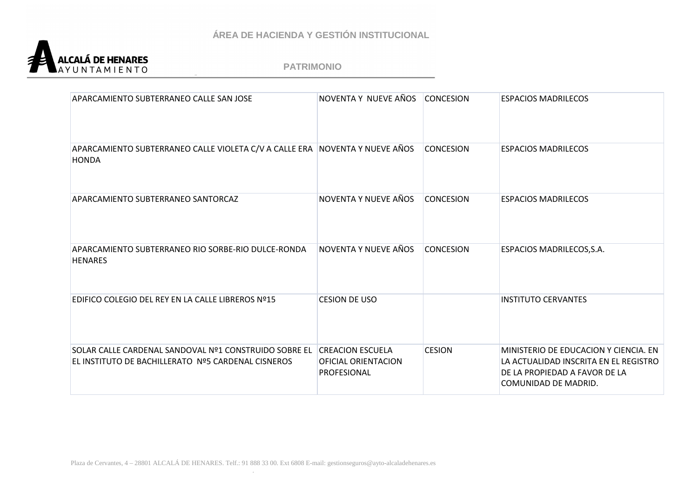

| APARCAMIENTO SUBTERRANEO CALLE SAN JOSE                                                                     | NOVENTA Y NUEVE AÑOS                                          | <b>CONCESION</b> | <b>ESPACIOS MADRILECOS</b>                                                                                                              |
|-------------------------------------------------------------------------------------------------------------|---------------------------------------------------------------|------------------|-----------------------------------------------------------------------------------------------------------------------------------------|
| APARCAMIENTO SUBTERRANEO CALLE VIOLETA C/V A CALLE ERA NOVENTA Y NUEVE AÑOS<br><b>HONDA</b>                 |                                                               | <b>CONCESION</b> | <b>ESPACIOS MADRILECOS</b>                                                                                                              |
| APARCAMIENTO SUBTERRANEO SANTORCAZ                                                                          | NOVENTA Y NUEVE AÑOS                                          | <b>CONCESION</b> | <b>ESPACIOS MADRILECOS</b>                                                                                                              |
| APARCAMIENTO SUBTERRANEO RIO SORBE-RIO DULCE-RONDA<br><b>HENARES</b>                                        | NOVENTA Y NUEVE AÑOS                                          | <b>CONCESION</b> | ESPACIOS MADRILECOS, S.A.                                                                                                               |
| EDIFICO COLEGIO DEL REY EN LA CALLE LIBREROS Nº15                                                           | <b>CESION DE USO</b>                                          |                  | <b>INSTITUTO CERVANTES</b>                                                                                                              |
| SOLAR CALLE CARDENAL SANDOVAL Nº1 CONSTRUIDO SOBRE EL<br>EL INSTITUTO DE BACHILLERATO Nº5 CARDENAL CISNEROS | <b>CREACION ESCUELA</b><br>OFICIAL ORIENTACION<br>PROFESIONAL | <b>CESION</b>    | MINISTERIO DE EDUCACION Y CIENCIA. EN<br>LA ACTUALIDAD INSCRITA EN EL REGISTRO<br>DE LA PROPIEDAD A FAVOR DE LA<br>COMUNIDAD DE MADRID. |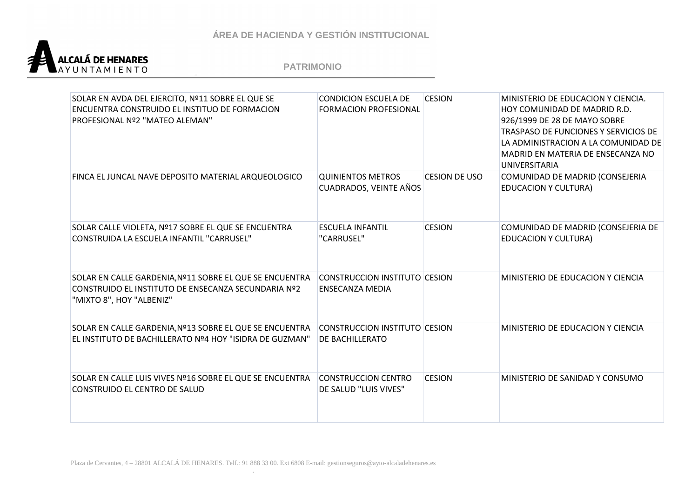

| SOLAR EN AVDA DEL EJERCITO, Nº11 SOBRE EL QUE SE<br>ENCUENTRA CONSTRUIDO EL INSTITUO DE FORMACION<br>PROFESIONAL Nº2 "MATEO ALEMAN"        | <b>CONDICION ESCUELA DE</b><br><b>FORMACION PROFESIONAL</b> | <b>CESION</b>        | MINISTERIO DE EDUCACION Y CIENCIA.<br>HOY COMUNIDAD DE MADRID R.D.<br>926/1999 DE 28 DE MAYO SOBRE<br>TRASPASO DE FUNCIONES Y SERVICIOS DE<br>LA ADMINISTRACION A LA COMUNIDAD DE<br>MADRID EN MATERIA DE ENSECANZA NO<br><b>UNIVERSITARIA</b> |
|--------------------------------------------------------------------------------------------------------------------------------------------|-------------------------------------------------------------|----------------------|------------------------------------------------------------------------------------------------------------------------------------------------------------------------------------------------------------------------------------------------|
| FINCA EL JUNCAL NAVE DEPOSITO MATERIAL ARQUEOLOGICO                                                                                        | <b>QUINIENTOS METROS</b><br><b>CUADRADOS, VEINTE AÑOS</b>   | <b>CESION DE USO</b> | COMUNIDAD DE MADRID (CONSEJERIA<br><b>EDUCACION Y CULTURA)</b>                                                                                                                                                                                 |
| SOLAR CALLE VIOLETA, Nº17 SOBRE EL QUE SE ENCUENTRA<br>CONSTRUIDA LA ESCUELA INFANTIL "CARRUSEL"                                           | <b>ESCUELA INFANTIL</b><br>"CARRUSEL"                       | <b>CESION</b>        | COMUNIDAD DE MADRID (CONSEJERIA DE<br><b>EDUCACION Y CULTURA)</b>                                                                                                                                                                              |
| SOLAR EN CALLE GARDENIA, Nº11 SOBRE EL QUE SE ENCUENTRA<br>CONSTRUIDO EL INSTITUTO DE ENSECANZA SECUNDARIA Nº2<br>"MIXTO 8", HOY "ALBENIZ" | CONSTRUCCION INSTITUTO CESION<br><b>ENSECANZA MEDIA</b>     |                      | MINISTERIO DE EDUCACION Y CIENCIA                                                                                                                                                                                                              |
| SOLAR EN CALLE GARDENIA, Nº13 SOBRE EL QUE SE ENCUENTRA<br>EL INSTITUTO DE BACHILLERATO Nº4 HOY "ISIDRA DE GUZMAN"                         | CONSTRUCCION INSTITUTO CESION<br>DE BACHILLERATO            |                      | MINISTERIO DE EDUCACION Y CIENCIA                                                                                                                                                                                                              |
| SOLAR EN CALLE LUIS VIVES Nº16 SOBRE EL QUE SE ENCUENTRA<br>CONSTRUIDO EL CENTRO DE SALUD                                                  | <b>CONSTRUCCION CENTRO</b><br>DE SALUD "LUIS VIVES"         | <b>CESION</b>        | MINISTERIO DE SANIDAD Y CONSUMO                                                                                                                                                                                                                |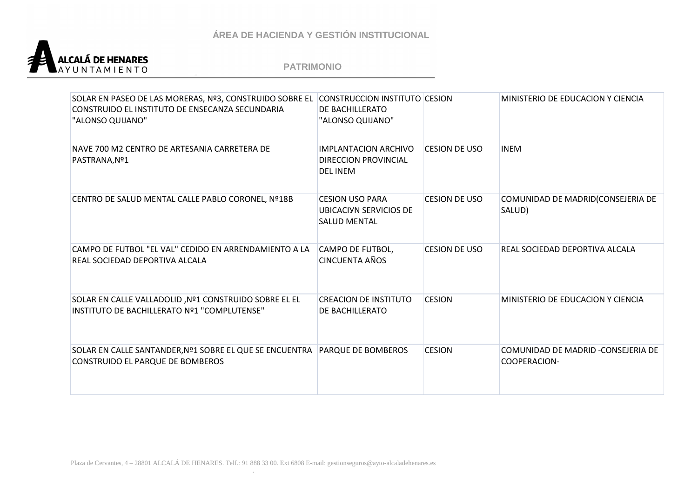

| SOLAR EN PASEO DE LAS MORERAS, Nº3, CONSTRUIDO SOBRE EL CONSTRUCCION INSTITUTO CESION<br>CONSTRUIDO EL INSTITUTO DE ENSECANZA SECUNDARIA<br>"ALONSO QUIJANO" | DE BACHILLERATO<br>"ALONSO QUIJANO"                                     |                      | MINISTERIO DE EDUCACION Y CIENCIA                 |
|--------------------------------------------------------------------------------------------------------------------------------------------------------------|-------------------------------------------------------------------------|----------------------|---------------------------------------------------|
| NAVE 700 M2 CENTRO DE ARTESANIA CARRETERA DE<br>PASTRANA, Nº1                                                                                                | <b>IMPLANTACION ARCHIVO</b><br>DIRECCION PROVINCIAL<br><b>DEL INEM</b>  | <b>CESION DE USO</b> | <b>INEM</b>                                       |
| CENTRO DE SALUD MENTAL CALLE PABLO CORONEL, Nº18B                                                                                                            | <b>CESION USO PARA</b><br>UBICACIYN SERVICIOS DE<br><b>SALUD MENTAL</b> | <b>CESION DE USO</b> | COMUNIDAD DE MADRID(CONSEJERIA DE<br>SALUD)       |
| CAMPO DE FUTBOL "EL VAL" CEDIDO EN ARRENDAMIENTO A LA<br>REAL SOCIEDAD DEPORTIVA ALCALA                                                                      | CAMPO DE FUTBOL,<br><b>CINCUENTA AÑOS</b>                               | <b>CESION DE USO</b> | REAL SOCIEDAD DEPORTIVA ALCALA                    |
| SOLAR EN CALLE VALLADOLID, Nº1 CONSTRUIDO SOBRE EL EL<br>INSTITUTO DE BACHILLERATO Nº1 "COMPLUTENSE"                                                         | <b>CREACION DE INSTITUTO</b><br>DE BACHILLERATO                         | <b>CESION</b>        | MINISTERIO DE EDUCACION Y CIENCIA                 |
| SOLAR EN CALLE SANTANDER, Nº1 SOBRE EL QUE SE ENCUENTRA PARQUE DE BOMBEROS<br>CONSTRUIDO EL PARQUE DE BOMBEROS                                               |                                                                         | <b>CESION</b>        | COMUNIDAD DE MADRID-CONSEJERIA DE<br>COOPERACION- |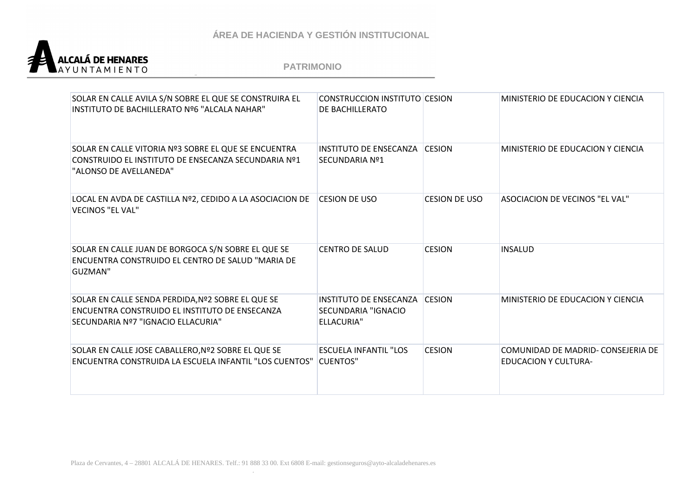

| SOLAR EN CALLE AVILA S/N SOBRE EL QUE SE CONSTRUIRA EL<br>INSTITUTO DE BACHILLERATO Nº6 "ALCALA NAHAR"                                    | CONSTRUCCION INSTITUTO CESION<br>DE BACHILLERATO                   |                      | MINISTERIO DE EDUCACION Y CIENCIA                                 |
|-------------------------------------------------------------------------------------------------------------------------------------------|--------------------------------------------------------------------|----------------------|-------------------------------------------------------------------|
| SOLAR EN CALLE VITORIA Nº3 SOBRE EL QUE SE ENCUENTRA<br>CONSTRUIDO EL INSTITUTO DE ENSECANZA SECUNDARIA Nº1<br>"ALONSO DE AVELLANEDA"     | <b>INSTITUTO DE ENSECANZA</b><br>SECUNDARIA Nº1                    | <b>CESION</b>        | MINISTERIO DE EDUCACION Y CIENCIA                                 |
| LOCAL EN AVDA DE CASTILLA Nº2, CEDIDO A LA ASOCIACION DE<br>VECINOS "EL VAL"                                                              | <b>CESION DE USO</b>                                               | <b>CESION DE USO</b> | ASOCIACION DE VECINOS "EL VAL"                                    |
| SOLAR EN CALLE JUAN DE BORGOCA S/N SOBRE EL QUE SE<br>ENCUENTRA CONSTRUIDO EL CENTRO DE SALUD "MARIA DE<br>GUZMAN"                        | <b>CENTRO DE SALUD</b>                                             | <b>CESION</b>        | <b>INSALUD</b>                                                    |
| SOLAR EN CALLE SENDA PERDIDA, Nº2 SOBRE EL QUE SE<br>ENCUENTRA CONSTRUIDO EL INSTITUTO DE ENSECANZA<br>SECUNDARIA Nº7 "IGNACIO ELLACURIA" | INSTITUTO DE ENSECANZA<br><b>SECUNDARIA "IGNACIO</b><br>ELLACURIA" | <b>CESION</b>        | MINISTERIO DE EDUCACION Y CIENCIA                                 |
| SOLAR EN CALLE JOSE CABALLERO, Nº2 SOBRE EL QUE SE<br>ENCUENTRA CONSTRUIDA LA ESCUELA INFANTIL "LOS CUENTOS"                              | <b>ESCUELA INFANTIL "LOS</b><br><b>CUENTOS"</b>                    | <b>CESION</b>        | COMUNIDAD DE MADRID- CONSEJERIA DE<br><b>EDUCACION Y CULTURA-</b> |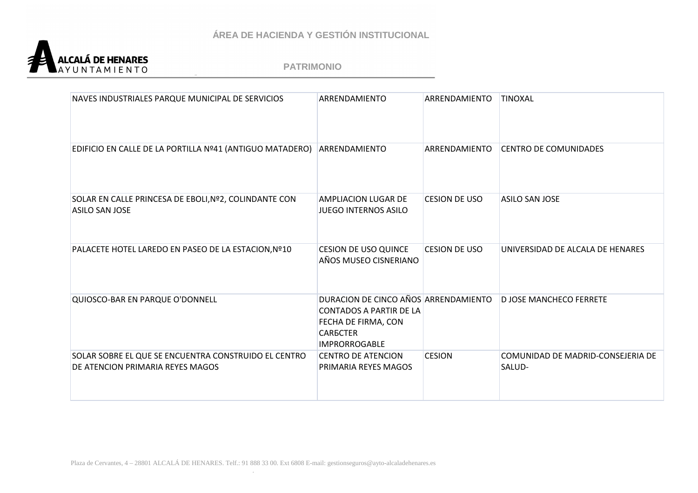

| NAVES INDUSTRIALES PARQUE MUNICIPAL DE SERVICIOS                                         | ARRENDAMIENTO                                                                                                                            | ARRENDAMIENTO        | <b>TINOXAL</b>                              |
|------------------------------------------------------------------------------------------|------------------------------------------------------------------------------------------------------------------------------------------|----------------------|---------------------------------------------|
| EDIFICIO EN CALLE DE LA PORTILLA Nº41 (ANTIGUO MATADERO)                                 | ARRENDAMIENTO                                                                                                                            | ARRENDAMIENTO        | <b>CENTRO DE COMUNIDADES</b>                |
| SOLAR EN CALLE PRINCESA DE EBOLI, Nº2, COLINDANTE CON<br><b>ASILO SAN JOSE</b>           | AMPLIACION LUGAR DE<br><b>JUEGO INTERNOS ASILO</b>                                                                                       | <b>CESION DE USO</b> | <b>ASILO SAN JOSE</b>                       |
| PALACETE HOTEL LAREDO EN PASEO DE LA ESTACION, Nº10                                      | <b>CESION DE USO QUINCE</b><br>AÑOS MUSEO CISNERIANO                                                                                     | <b>CESION DE USO</b> | UNIVERSIDAD DE ALCALA DE HENARES            |
| QUIOSCO-BAR EN PARQUE O'DONNELL                                                          | DURACION DE CINCO AÑOS ARRENDAMIENTO<br><b>CONTADOS A PARTIR DE LA</b><br>FECHA DE FIRMA, CON<br><b>CARECTER</b><br><b>IMPRORROGABLE</b> |                      | <b>D JOSE MANCHECO FERRETE</b>              |
| SOLAR SOBRE EL QUE SE ENCUENTRA CONSTRUIDO EL CENTRO<br>DE ATENCION PRIMARIA REYES MAGOS | <b>CENTRO DE ATENCION</b><br>PRIMARIA REYES MAGOS                                                                                        | <b>CESION</b>        | COMUNIDAD DE MADRID-CONSEJERIA DE<br>SALUD- |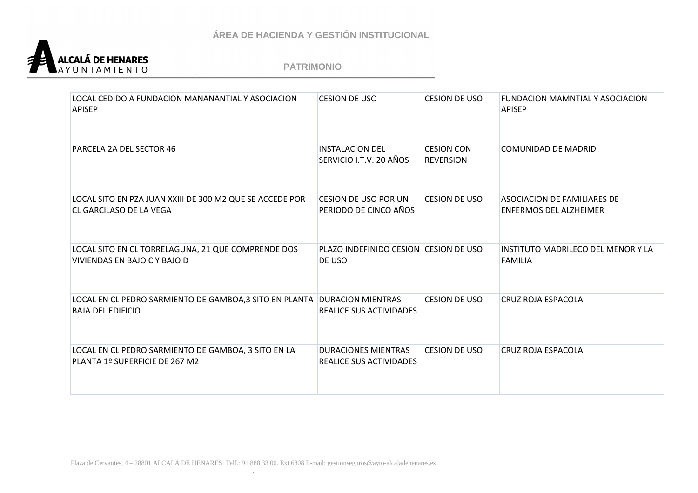

| LOCAL CEDIDO A FUNDACION MANANANTIAL Y ASOCIACION<br><b>APISEP</b>                                     | <b>CESION DE USO</b>                                  | <b>CESION DE USO</b>                  | FUNDACION MAMNTIAL Y ASOCIACION<br><b>APISEP</b>             |
|--------------------------------------------------------------------------------------------------------|-------------------------------------------------------|---------------------------------------|--------------------------------------------------------------|
| PARCELA 2A DEL SECTOR 46                                                                               | <b>INSTALACION DEL</b><br>SERVICIO I.T.V. 20 AÑOS     | <b>CESION CON</b><br><b>REVERSION</b> | <b>COMUNIDAD DE MADRID</b>                                   |
| LOCAL SITO EN PZA JUAN XXIII DE 300 M2 QUE SE ACCEDE POR<br>CL GARCILASO DE LA VEGA                    | <b>CESION DE USO POR UN</b><br>PERIODO DE CINCO AÑOS  | <b>CESION DE USO</b>                  | ASOCIACION DE FAMILIARES DE<br><b>ENFERMOS DEL ALZHEIMER</b> |
| LOCAL SITO EN CL TORRELAGUNA, 21 QUE COMPRENDE DOS<br>VIVIENDAS EN BAJO C Y BAJO D                     | PLAZO INDEFINIDO CESION CESION DE USO<br>DE USO       |                                       | <b>INSTITUTO MADRILECO DEL MENOR Y LA</b><br><b>FAMILIA</b>  |
| LOCAL EN CL PEDRO SARMIENTO DE GAMBOA,3 SITO EN PLANTA   DURACION MIENTRAS<br><b>BAJA DEL EDIFICIO</b> | <b>REALICE SUS ACTIVIDADES</b>                        | <b>CESION DE USO</b>                  | <b>CRUZ ROJA ESPACOLA</b>                                    |
| LOCAL EN CL PEDRO SARMIENTO DE GAMBOA, 3 SITO EN LA<br>PLANTA 1º SUPERFICIE DE 267 M2                  | <b>DURACIONES MIENTRAS</b><br>REALICE SUS ACTIVIDADES | <b>CESION DE USO</b>                  | CRUZ ROJA ESPACOLA                                           |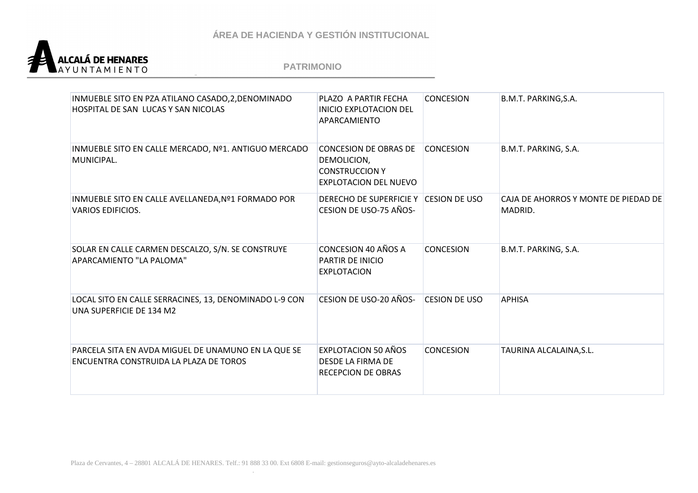

| INMUEBLE SITO EN PZA ATILANO CASADO, 2, DENOMINADO<br>HOSPITAL DE SAN LUCAS Y SAN NICOLAS     | PLAZO A PARTIR FECHA<br><b>INICIO EXPLOTACION DEL</b><br>APARCAMIENTO                         | <b>CONCESION</b>     | B.M.T. PARKING, S.A.                            |
|-----------------------------------------------------------------------------------------------|-----------------------------------------------------------------------------------------------|----------------------|-------------------------------------------------|
| INMUEBLE SITO EN CALLE MERCADO, Nº1. ANTIGUO MERCADO<br>MUNICIPAL.                            | CONCESION DE OBRAS DE<br>DEMOLICION,<br><b>CONSTRUCCION Y</b><br><b>EXPLOTACION DEL NUEVO</b> | <b>CONCESION</b>     | B.M.T. PARKING, S.A.                            |
| INMUEBLE SITO EN CALLE AVELLANEDA, Nº1 FORMADO POR<br><b>VARIOS EDIFICIOS.</b>                | DERECHO DE SUPERFICIE Y<br>CESION DE USO-75 AÑOS-                                             | <b>CESION DE USO</b> | CAJA DE AHORROS Y MONTE DE PIEDAD DE<br>MADRID. |
| SOLAR EN CALLE CARMEN DESCALZO, S/N. SE CONSTRUYE<br>APARCAMIENTO "LA PALOMA"                 | <b>CONCESION 40 AÑOS A</b><br>PARTIR DE INICIO<br><b>EXPLOTACION</b>                          | <b>CONCESION</b>     | B.M.T. PARKING, S.A.                            |
| LOCAL SITO EN CALLE SERRACINES, 13, DENOMINADO L-9 CON<br>UNA SUPERFICIE DE 134 M2            | CESION DE USO-20 AÑOS-                                                                        | <b>CESION DE USO</b> | <b>APHISA</b>                                   |
| PARCELA SITA EN AVDA MIGUEL DE UNAMUNO EN LA QUE SE<br>ENCUENTRA CONSTRUIDA LA PLAZA DE TOROS | <b>EXPLOTACION 50 AÑOS</b><br>DESDE LA FIRMA DE<br><b>RECEPCION DE OBRAS</b>                  | <b>CONCESION</b>     | TAURINA ALCALAINA, S.L.                         |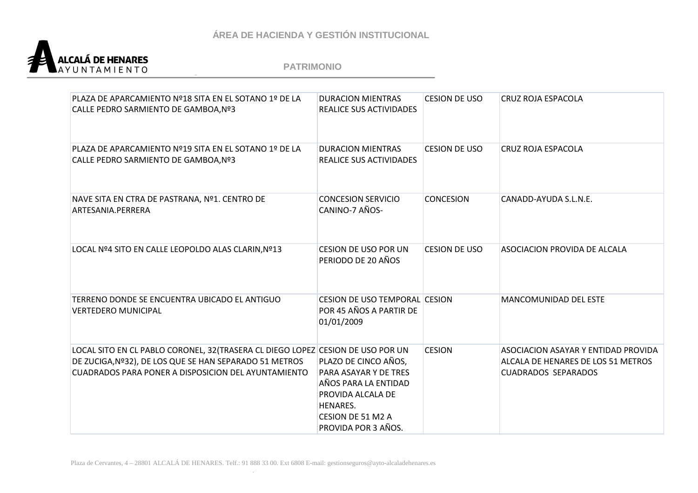

| PLAZA DE APARCAMIENTO Nº18 SITA EN EL SOTANO 1º DE LA<br>CALLE PEDRO SARMIENTO DE GAMBOA, Nº3                                                                                                    | <b>DURACION MIENTRAS</b><br><b>REALICE SUS ACTIVIDADES</b>                                                                                         | <b>CESION DE USO</b> | <b>CRUZ ROJA ESPACOLA</b>                                                                               |
|--------------------------------------------------------------------------------------------------------------------------------------------------------------------------------------------------|----------------------------------------------------------------------------------------------------------------------------------------------------|----------------------|---------------------------------------------------------------------------------------------------------|
| PLAZA DE APARCAMIENTO Nº19 SITA EN EL SOTANO 1º DE LA<br>CALLE PEDRO SARMIENTO DE GAMBOA, Nº3                                                                                                    | <b>DURACION MIENTRAS</b><br><b>REALICE SUS ACTIVIDADES</b>                                                                                         | <b>CESION DE USO</b> | <b>CRUZ ROJA ESPACOLA</b>                                                                               |
| NAVE SITA EN CTRA DE PASTRANA, Nº1. CENTRO DE<br>ARTESANIA.PERRERA                                                                                                                               | <b>CONCESION SERVICIO</b><br>CANINO-7 AÑOS-                                                                                                        | <b>CONCESION</b>     | CANADD-AYUDA S.L.N.E.                                                                                   |
| LOCAL Nº4 SITO EN CALLE LEOPOLDO ALAS CLARIN, Nº13                                                                                                                                               | <b>CESION DE USO POR UN</b><br>PERIODO DE 20 AÑOS                                                                                                  | <b>CESION DE USO</b> | <b>ASOCIACION PROVIDA DE ALCALA</b>                                                                     |
| TERRENO DONDE SE ENCUENTRA UBICADO EL ANTIGUO<br><b>VERTEDERO MUNICIPAL</b>                                                                                                                      | <b>CESION DE USO TEMPORAL CESION</b><br>POR 45 AÑOS A PARTIR DE<br>01/01/2009                                                                      |                      | MANCOMUNIDAD DEL ESTE                                                                                   |
| LOCAL SITO EN CL PABLO CORONEL, 32 (TRASERA CL DIEGO LOPEZ CESION DE USO POR UN<br>DE ZUCIGA, Nº32), DE LOS QUE SE HAN SEPARADO 51 METROS<br>CUADRADOS PARA PONER A DISPOSICION DEL AYUNTAMIENTO | PLAZO DE CINCO AÑOS,<br>PARA ASAYAR Y DE TRES<br>AÑOS PARA LA ENTIDAD<br>PROVIDA ALCALA DE<br>HENARES.<br>CESION DE 51 M2 A<br>PROVIDA POR 3 AÑOS. | <b>CESION</b>        | ASOCIACION ASAYAR Y ENTIDAD PROVIDA<br>ALCALA DE HENARES DE LOS 51 METROS<br><b>CUADRADOS SEPARADOS</b> |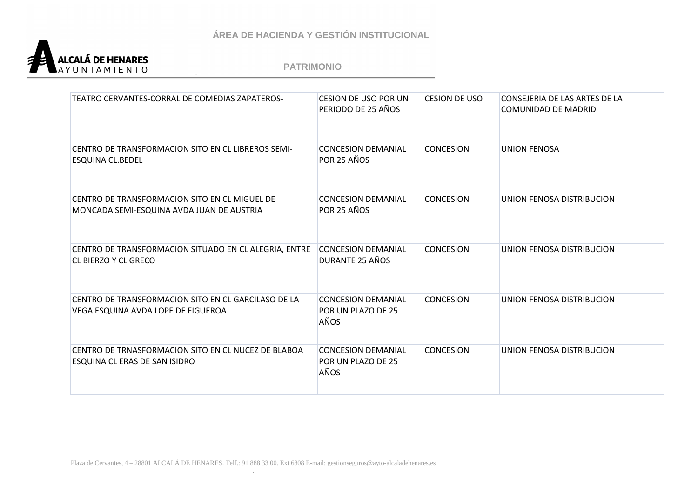

| TEATRO CERVANTES-CORRAL DE COMEDIAS ZAPATEROS-                                             | <b>CESION DE USO POR UN</b><br>PERIODO DE 25 AÑOS       | <b>CESION DE USO</b> | CONSEJERIA DE LAS ARTES DE LA<br>COMUNIDAD DE MADRID |
|--------------------------------------------------------------------------------------------|---------------------------------------------------------|----------------------|------------------------------------------------------|
| CENTRO DE TRANSFORMACION SITO EN CL LIBREROS SEMI-<br>ESQUINA CL.BEDEL                     | <b>CONCESION DEMANIAL</b><br>POR 25 AÑOS                | <b>CONCESION</b>     | <b>UNION FENOSA</b>                                  |
| CENTRO DE TRANSFORMACION SITO EN CL MIGUEL DE<br>MONCADA SEMI-ESQUINA AVDA JUAN DE AUSTRIA | <b>CONCESION DEMANIAL</b><br>POR 25 AÑOS                | <b>CONCESION</b>     | UNION FENOSA DISTRIBUCION                            |
| CENTRO DE TRANSFORMACION SITUADO EN CL ALEGRIA, ENTRE<br>CL BIERZO Y CL GRECO              | <b>CONCESION DEMANIAL</b><br>DURANTE 25 AÑOS            | <b>CONCESION</b>     | UNION FENOSA DISTRIBUCION                            |
| CENTRO DE TRANSFORMACION SITO EN CL GARCILASO DE LA<br>VEGA ESQUINA AVDA LOPE DE FIGUEROA  | <b>CONCESION DEMANIAL</b><br>POR UN PLAZO DE 25<br>AÑOS | <b>CONCESION</b>     | UNION FENOSA DISTRIBUCION                            |
| CENTRO DE TRNASFORMACION SITO EN CL NUCEZ DE BLABOA<br>ESQUINA CL ERAS DE SAN ISIDRO       | <b>CONCESION DEMANIAL</b><br>POR UN PLAZO DE 25<br>AÑOS | <b>CONCESION</b>     | UNION FENOSA DISTRIBUCION                            |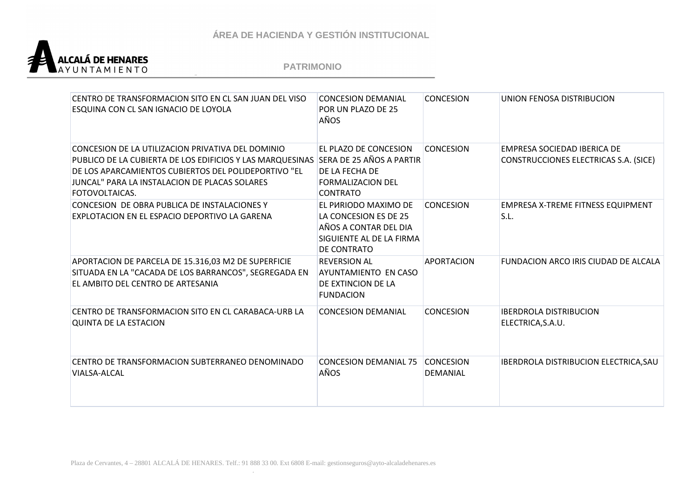

| CENTRO DE TRANSFORMACION SITO EN CL SAN JUAN DEL VISO<br>ESQUINA CON CL SAN IGNACIO DE LOYOLA                                                                                                                                             | <b>CONCESION DEMANIAL</b><br>POR UN PLAZO DE 25<br>AÑOS                                                                  | <b>CONCESION</b>             | UNION FENOSA DISTRIBUCION                                            |
|-------------------------------------------------------------------------------------------------------------------------------------------------------------------------------------------------------------------------------------------|--------------------------------------------------------------------------------------------------------------------------|------------------------------|----------------------------------------------------------------------|
| CONCESION DE LA UTILIZACION PRIVATIVA DEL DOMINIO<br>PUBLICO DE LA CUBIERTA DE LOS EDIFICIOS Y LAS MARQUESINAS<br>DE LOS APARCAMIENTOS CUBIERTOS DEL POLIDEPORTIVO "EL<br>JUNCAL" PARA LA INSTALACION DE PLACAS SOLARES<br>FOTOVOLTAICAS. | EL PLAZO DE CONCESION<br>SERA DE 25 AÑOS A PARTIR<br>DE LA FECHA DE<br><b>FORMALIZACION DEL</b><br><b>CONTRATO</b>       | <b>CONCESION</b>             | EMPRESA SOCIEDAD IBERICA DE<br>CONSTRUCCIONES ELECTRICAS S.A. (SICE) |
| CONCESION DE OBRA PUBLICA DE INSTALACIONES Y<br>EXPLOTACION EN EL ESPACIO DEPORTIVO LA GARENA                                                                                                                                             | EL PURIODO MAXIMO DE<br>LA CONCESION ES DE 25<br>AÑOS A CONTAR DEL DIA<br>SIGUIENTE AL DE LA FIRMA<br><b>DE CONTRATO</b> | <b>CONCESION</b>             | <b>EMPRESA X-TREME FITNESS EQUIPMENT</b><br>S.L.                     |
| APORTACION DE PARCELA DE 15.316,03 M2 DE SUPERFICIE<br>SITUADA EN LA "CACADA DE LOS BARRANCOS", SEGREGADA EN<br>EL AMBITO DEL CENTRO DE ARTESANIA                                                                                         | <b>REVERSION AL</b><br>AYUNTAMIENTO EN CASO<br>DE EXTINCION DE LA<br><b>FUNDACION</b>                                    | <b>APORTACION</b>            | <b>FUNDACION ARCO IRIS CIUDAD DE ALCALA</b>                          |
| CENTRO DE TRANSFORMACION SITO EN CL CARABACA-URB LA<br><b>QUINTA DE LA ESTACION</b>                                                                                                                                                       | <b>CONCESION DEMANIAL</b>                                                                                                | <b>CONCESION</b>             | <b>IBERDROLA DISTRIBUCION</b><br>ELECTRICA, S.A.U.                   |
| CENTRO DE TRANSFORMACIÓN SUBTERRANEO DENOMINADO<br>VIALSA-ALCAL                                                                                                                                                                           | <b>CONCESION DEMANIAL 75</b><br>AÑOS                                                                                     | <b>CONCESION</b><br>DEMANIAL | IBERDROLA DISTRIBUCION ELECTRICA, SAU                                |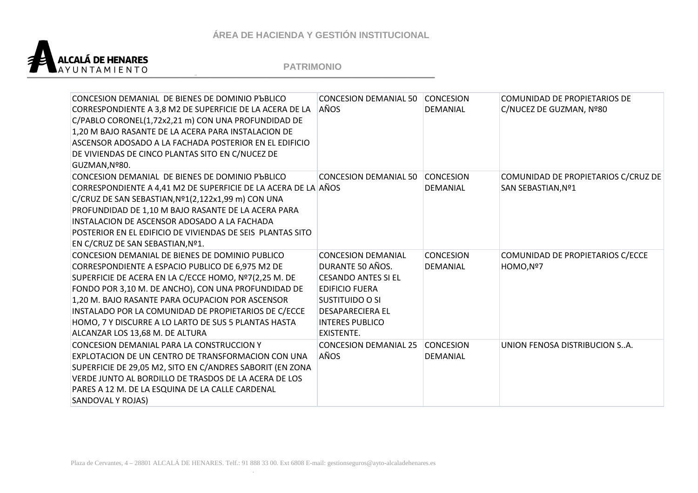

| CONCESION DEMANIAL DE BIENES DE DOMINIO PЪBLICO<br>CORRESPONDIENTE A 3,8 M2 DE SUPERFICIE DE LA ACERA DE LA<br>C/PABLO CORONEL(1,72x2,21 m) CON UNA PROFUNDIDAD DE<br>1,20 M BAJO RASANTE DE LA ACERA PARA INSTALACION DE<br>ASCENSOR ADOSADO A LA FACHADA POSTERIOR EN EL EDIFICIO<br>DE VIVIENDAS DE CINCO PLANTAS SITO EN C/NUCEZ DE<br>GUZMAN, Nº80.                                                                   | <b>CONCESION DEMANIAL 50</b><br>AÑOS                                                                                                                                                       | <b>CONCESION</b><br>DEMANIAL | COMUNIDAD DE PROPIETARIOS DE<br>C/NUCEZ DE GUZMAN, Nº80   |
|----------------------------------------------------------------------------------------------------------------------------------------------------------------------------------------------------------------------------------------------------------------------------------------------------------------------------------------------------------------------------------------------------------------------------|--------------------------------------------------------------------------------------------------------------------------------------------------------------------------------------------|------------------------------|-----------------------------------------------------------|
| CONCESION DEMANIAL DE BIENES DE DOMINIO PЪBLICO<br>CORRESPONDIENTE A 4,41 M2 DE SUPERFICIE DE LA ACERA DE LA AÑOS<br>C/CRUZ DE SAN SEBASTIAN, Nº1(2,122x1,99 m) CON UNA<br>PROFUNDIDAD DE 1,10 M BAJO RASANTE DE LA ACERA PARA<br>INSTALACION DE ASCENSOR ADOSADO A LA FACHADA<br>POSTERIOR EN EL EDIFICIO DE VIVIENDAS DE SEIS PLANTAS SITO<br>EN C/CRUZ DE SAN SEBASTIAN, Nº1.                                           | <b>CONCESION DEMANIAL 50</b>                                                                                                                                                               | <b>CONCESION</b><br>DEMANIAL | COMUNIDAD DE PROPIETARIOS C/CRUZ DE<br>SAN SEBASTIAN, Nº1 |
| CONCESION DEMANIAL DE BIENES DE DOMINIO PUBLICO<br>CORRESPONDIENTE A ESPACIO PUBLICO DE 6,975 M2 DE<br>SUPERFICIE DE ACERA EN LA C/ECCE HOMO, Nº7(2,25 M. DE<br>FONDO POR 3,10 M. DE ANCHO), CON UNA PROFUNDIDAD DE<br>1,20 M. BAJO RASANTE PARA OCUPACION POR ASCENSOR<br>INSTALADO POR LA COMUNIDAD DE PROPIETARIOS DE C/ECCE<br>HOMO, 7 Y DISCURRE A LO LARTO DE SUS 5 PLANTAS HASTA<br>ALCANZAR LOS 13,68 M. DE ALTURA | <b>CONCESION DEMANIAL</b><br>DURANTE 50 AÑOS.<br><b>CESANDO ANTES SI EL</b><br><b>EDIFICIO FUERA</b><br>SUSTITUIDO O SI<br><b>DESAPARECIERA EL</b><br><b>INTERES PUBLICO</b><br>EXISTENTE. | <b>CONCESION</b><br>DEMANIAL | COMUNIDAD DE PROPIETARIOS C/ECCE<br>HOMO, Nº7             |
| CONCESION DEMANIAL PARA LA CONSTRUCCION Y<br>EXPLOTACION DE UN CENTRO DE TRANSFORMACION CON UNA<br>SUPERFICIE DE 29,05 M2, SITO EN C/ANDRES SABORIT (EN ZONA<br>VERDE JUNTO AL BORDILLO DE TRASDOS DE LA ACERA DE LOS<br>PARES A 12 M. DE LA ESQUINA DE LA CALLE CARDENAL<br>SANDOVAL Y ROJAS)                                                                                                                             | <b>CONCESION DEMANIAL 25</b><br>AÑOS                                                                                                                                                       | <b>CONCESION</b><br>DEMANIAL | UNION FENOSA DISTRIBUCION SA.                             |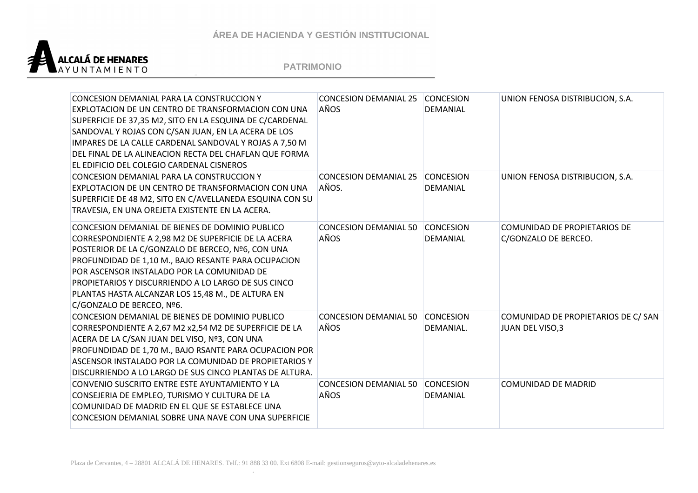

| CONCESION DEMANIAL PARA LA CONSTRUCCION Y<br>EXPLOTACION DE UN CENTRO DE TRANSFORMACION CON UNA<br>SUPERFICIE DE 37,35 M2, SITO EN LA ESQUINA DE C/CARDENAL<br>SANDOVAL Y ROJAS CON C/SAN JUAN, EN LA ACERA DE LOS<br>IMPARES DE LA CALLE CARDENAL SANDOVAL Y ROJAS A 7,50 M<br>DEL FINAL DE LA ALINEACION RECTA DEL CHAFLAN QUE FORMA<br>EL EDIFICIO DEL COLEGIO CARDENAL CISNEROS                       | <b>CONCESION DEMANIAL 25</b><br>AÑOS  | <b>CONCESION</b><br>DEMANIAL        | UNION FENOSA DISTRIBUCION, S.A.                         |
|-----------------------------------------------------------------------------------------------------------------------------------------------------------------------------------------------------------------------------------------------------------------------------------------------------------------------------------------------------------------------------------------------------------|---------------------------------------|-------------------------------------|---------------------------------------------------------|
| CONCESION DEMANIAL PARA LA CONSTRUCCION Y<br>EXPLOTACION DE UN CENTRO DE TRANSFORMACION CON UNA<br>SUPERFICIE DE 48 M2, SITO EN C/AVELLANEDA ESQUINA CON SU<br>TRAVESIA, EN UNA OREJETA EXISTENTE EN LA ACERA.                                                                                                                                                                                            | <b>CONCESION DEMANIAL 25</b><br>AÑOS. | <b>CONCESION</b><br>DEMANIAL        | UNION FENOSA DISTRIBUCION, S.A.                         |
| CONCESION DEMANIAL DE BIENES DE DOMINIO PUBLICO<br>CORRESPONDIENTE A 2,98 M2 DE SUPERFICIE DE LA ACERA<br>POSTERIOR DE LA C/GONZALO DE BERCEO, Nº6, CON UNA<br>PROFUNDIDAD DE 1,10 M., BAJO RESANTE PARA OCUPACION<br>POR ASCENSOR INSTALADO POR LA COMUNIDAD DE<br>PROPIETARIOS Y DISCURRIENDO A LO LARGO DE SUS CINCO<br>PLANTAS HASTA ALCANZAR LOS 15,48 M., DE ALTURA EN<br>C/GONZALO DE BERCEO, Nº6. | <b>CONCESION DEMANIAL 50</b><br>AÑOS  | <b>CONCESION</b><br><b>DEMANIAL</b> | COMUNIDAD DE PROPIETARIOS DE<br>C/GONZALO DE BERCEO.    |
| CONCESION DEMANIAL DE BIENES DE DOMINIO PUBLICO<br>CORRESPONDIENTE A 2,67 M2 x2,54 M2 DE SUPERFICIE DE LA<br>ACERA DE LA C/SAN JUAN DEL VISO, Nº3, CON UNA<br>PROFUNDIDAD DE 1,70 M., BAJO RSANTE PARA OCUPACION POR<br>ASCENSOR INSTALADO POR LA COMUNIDAD DE PROPIETARIOS Y<br>DISCURRIENDO A LO LARGO DE SUS CINCO PLANTAS DE ALTURA.                                                                  | <b>CONCESION DEMANIAL 50</b><br>AÑOS  | <b>CONCESION</b><br>DEMANIAL.       | COMUNIDAD DE PROPIETARIOS DE C/ SAN<br>JUAN DEL VISO, 3 |
| CONVENIO SUSCRITO ENTRE ESTE AYUNTAMIENTO Y LA<br>CONSEJERIA DE EMPLEO, TURISMO Y CULTURA DE LA<br>COMUNIDAD DE MADRID EN EL QUE SE ESTABLECE UNA<br>CONCESION DEMANIAL SOBRE UNA NAVE CON UNA SUPERFICIE                                                                                                                                                                                                 | <b>CONCESION DEMANIAL 50</b><br>AÑOS  | <b>CONCESION</b><br>DEMANIAL        | <b>COMUNIDAD DE MADRID</b>                              |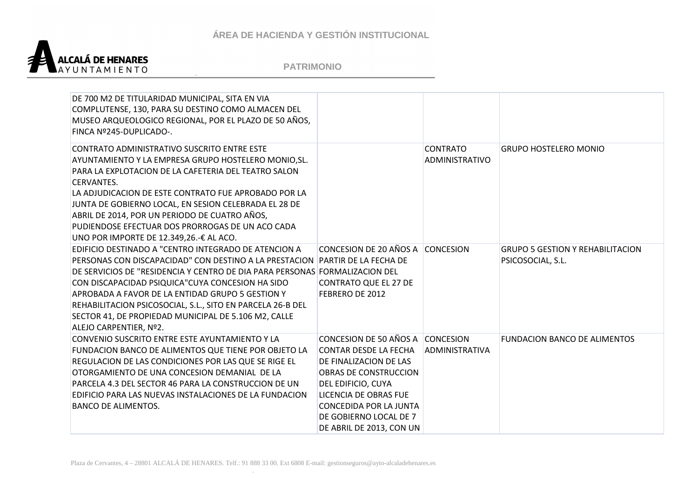

| DE 700 M2 DE TITULARIDAD MUNICIPAL, SITA EN VIA<br>COMPLUTENSE, 130, PARA SU DESTINO COMO ALMACEN DEL<br>MUSEO ARQUEOLOGICO REGIONAL, POR EL PLAZO DE 50 AÑOS,<br>FINCA Nº245-DUPLICADO-.                                                                                                                                                                                                                                                                                   |                                                                                                                                                                                                                                   |                                           |                                                              |
|-----------------------------------------------------------------------------------------------------------------------------------------------------------------------------------------------------------------------------------------------------------------------------------------------------------------------------------------------------------------------------------------------------------------------------------------------------------------------------|-----------------------------------------------------------------------------------------------------------------------------------------------------------------------------------------------------------------------------------|-------------------------------------------|--------------------------------------------------------------|
| CONTRATO ADMINISTRATIVO SUSCRITO ENTRE ESTE<br>AYUNTAMIENTO Y LA EMPRESA GRUPO HOSTELERO MONIO, SL.<br>PARA LA EXPLOTACION DE LA CAFETERIA DEL TEATRO SALON<br>CERVANTES.<br>LA ADJUDICACION DE ESTE CONTRATO FUE APROBADO POR LA<br>JUNTA DE GOBIERNO LOCAL, EN SESION CELEBRADA EL 28 DE<br>ABRIL DE 2014, POR UN PERIODO DE CUATRO AÑOS,<br>PUDIENDOSE EFECTUAR DOS PRORROGAS DE UN ACO CADA<br>UNO POR IMPORTE DE 12.349,26.-€ AL ACO.                                  |                                                                                                                                                                                                                                   | <b>CONTRATO</b><br>ADMINISTRATIVO         | <b>GRUPO HOSTELERO MONIO</b>                                 |
| EDIFICIO DESTINADO A "CENTRO INTEGRADO DE ATENCION A<br>PERSONAS CON DISCAPACIDAD" CON DESTINO A LA PRESTACION PARTIR DE LA FECHA DE<br>DE SERVICIOS DE "RESIDENCIA Y CENTRO DE DIA PARA PERSONAS FORMALIZACION DEL<br>CON DISCAPACIDAD PSIQUICA"CUYA CONCESION HA SIDO<br>APROBADA A FAVOR DE LA ENTIDAD GRUPO 5 GESTION Y<br>REHABILITACION PSICOSOCIAL, S.L., SITO EN PARCELA 26-B DEL<br>SECTOR 41, DE PROPIEDAD MUNICIPAL DE 5.106 M2, CALLE<br>ALEJO CARPENTIER, Nº2. | CONCESION DE 20 AÑOS A<br><b>CONTRATO QUE EL 27 DE</b><br>FEBRERO DE 2012                                                                                                                                                         | <b>CONCESION</b>                          | <b>GRUPO 5 GESTION Y REHABILITACION</b><br>PSICOSOCIAL, S.L. |
| CONVENIO SUSCRITO ENTRE ESTE AYUNTAMIENTO Y LA<br>FUNDACION BANCO DE ALIMENTOS QUE TIENE POR OBJETO LA<br>REGULACION DE LAS CONDICIONES POR LAS QUE SE RIGE EL<br>OTORGAMIENTO DE UNA CONCESION DEMANIAL DE LA<br>PARCELA 4.3 DEL SECTOR 46 PARA LA CONSTRUCCION DE UN<br>EDIFICIO PARA LAS NUEVAS INSTALACIONES DE LA FUNDACION<br><b>BANCO DE ALIMENTOS.</b>                                                                                                              | CONCESION DE 50 AÑOS A<br>CONTAR DESDE LA FECHA<br>DE FINALIZACION DE LAS<br>OBRAS DE CONSTRUCCION<br>DEL EDIFICIO, CUYA<br>LICENCIA DE OBRAS FUE<br>CONCEDIDA POR LA JUNTA<br>DE GOBIERNO LOCAL DE 7<br>DE ABRIL DE 2013, CON UN | <b>CONCESION</b><br><b>ADMINISTRATIVA</b> | <b>FUNDACION BANCO DE ALIMENTOS</b>                          |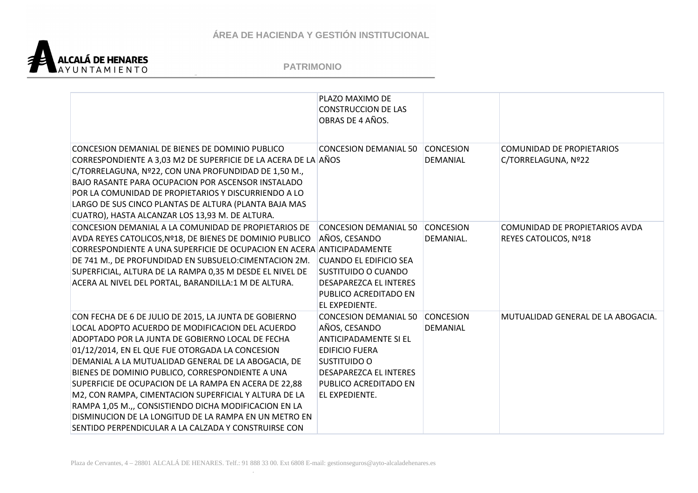

**PATRIMONIO**

|                                                                                                                                                                                                                                                                                                                                                                                                                                                                                                                                                                                                                         | PLAZO MAXIMO DE<br><b>CONSTRUCCION DE LAS</b><br>OBRAS DE 4 AÑOS.                                                                                                                    |                               |                                                         |
|-------------------------------------------------------------------------------------------------------------------------------------------------------------------------------------------------------------------------------------------------------------------------------------------------------------------------------------------------------------------------------------------------------------------------------------------------------------------------------------------------------------------------------------------------------------------------------------------------------------------------|--------------------------------------------------------------------------------------------------------------------------------------------------------------------------------------|-------------------------------|---------------------------------------------------------|
| CONCESION DEMANIAL DE BIENES DE DOMINIO PUBLICO<br>CORRESPONDIENTE A 3,03 M2 DE SUPERFICIE DE LA ACERA DE LA AÑOS<br>C/TORRELAGUNA, Nº22, CON UNA PROFUNDIDAD DE 1,50 M.,<br>BAJO RASANTE PARA OCUPACION POR ASCENSOR INSTALADO<br>POR LA COMUNIDAD DE PROPIETARIOS Y DISCURRIENDO A LO<br>LARGO DE SUS CINCO PLANTAS DE ALTURA (PLANTA BAJA MAS<br>CUATRO), HASTA ALCANZAR LOS 13,93 M. DE ALTURA.                                                                                                                                                                                                                     | <b>CONCESION DEMANIAL 50</b>                                                                                                                                                         | <b>CONCESION</b><br>DEMANIAL  | <b>COMUNIDAD DE PROPIETARIOS</b><br>C/TORRELAGUNA, Nº22 |
| CONCESION DEMANIAL A LA COMUNIDAD DE PROPIETARIOS DE<br>AVDA REYES CATOLICOS, Nº18, DE BIENES DE DOMINIO PUBLICO<br>CORRESPONDIENTE A UNA SUPERFICIE DE OCUPACION EN ACERA ANTICIPADAMENTE<br>DE 741 M., DE PROFUNDIDAD EN SUBSUELO: CIMENTACION 2M.<br>SUPERFICIAL, ALTURA DE LA RAMPA 0,35 M DESDE EL NIVEL DE<br>ACERA AL NIVEL DEL PORTAL, BARANDILLA:1 M DE ALTURA.                                                                                                                                                                                                                                                | <b>CONCESION DEMANIAL 50</b><br>AÑOS, CESANDO<br><b>CUANDO EL EDIFICIO SEA</b><br>SUSTITUIDO O CUANDO<br><b>DESAPAREZCA EL INTERES</b><br>PUBLICO ACREDITADO EN<br>EL EXPEDIENTE.    | <b>CONCESION</b><br>DEMANIAL. | COMUNIDAD DE PROPIETARIOS AVDA<br>REYES CATOLICOS, Nº18 |
| CON FECHA DE 6 DE JULIO DE 2015, LA JUNTA DE GOBIERNO<br>LOCAL ADOPTO ACUERDO DE MODIFICACION DEL ACUERDO<br>ADOPTADO POR LA JUNTA DE GOBIERNO LOCAL DE FECHA<br>01/12/2014, EN EL QUE FUE OTORGADA LA CONCESION<br>DEMANIAL A LA MUTUALIDAD GENERAL DE LA ABOGACIA, DE<br>BIENES DE DOMINIO PUBLICO, CORRESPONDIENTE A UNA<br>SUPERFICIE DE OCUPACION DE LA RAMPA EN ACERA DE 22,88<br>M2, CON RAMPA, CIMENTACION SUPERFICIAL Y ALTURA DE LA<br>RAMPA 1,05 M.,, CONSISTIENDO DICHA MODIFICACION EN LA<br>DISMINUCION DE LA LONGITUD DE LA RAMPA EN UN METRO EN<br>SENTIDO PERPENDICULAR A LA CALZADA Y CONSTRUIRSE CON | <b>CONCESION DEMANIAL 50</b><br>AÑOS, CESANDO<br>ANTICIPADAMENTE SI EL<br><b>EDIFICIO FUERA</b><br>SUSTITUIDO O<br>DESAPAREZCA EL INTERES<br>PUBLICO ACREDITADO EN<br>EL EXPEDIENTE. | <b>CONCESION</b><br>DEMANIAL  | MUTUALIDAD GENERAL DE LA ABOGACIA.                      |

Plaza de Cervantes, 4 – 28801 ALCALÁ DE HENARES. Telf.: 91 888 33 00. Ext 6808 E-mail: gestionseguros@ayto-alcaladehenares.es .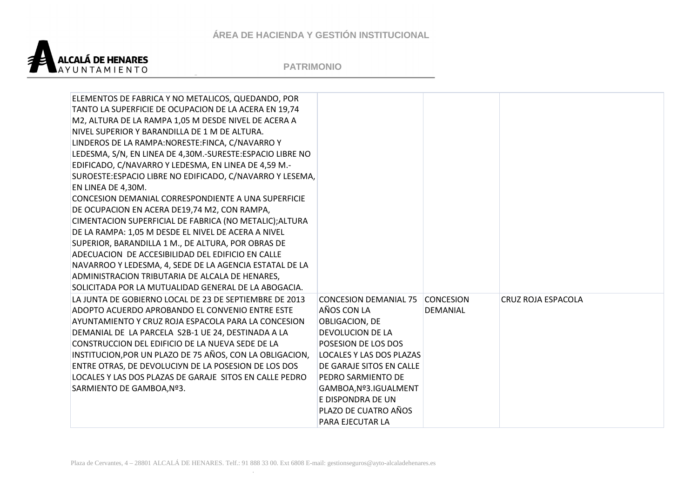

| ELEMENTOS DE FABRICA Y NO METALICOS, QUEDANDO, POR<br>TANTO LA SUPERFICIE DE OCUPACION DE LA ACERA EN 19,74<br>M2, ALTURA DE LA RAMPA 1,05 M DESDE NIVEL DE ACERA A<br>NIVEL SUPERIOR Y BARANDILLA DE 1 M DE ALTURA.<br>LINDEROS DE LA RAMPA: NORESTE: FINCA, C/NAVARRO Y<br>LEDESMA, S/N, EN LINEA DE 4,30M.-SURESTE: ESPACIO LIBRE NO<br>EDIFICADO, C/NAVARRO Y LEDESMA, EN LINEA DE 4,59 M.-<br>SUROESTE: ESPACIO LIBRE NO EDIFICADO, C/NAVARRO Y LESEMA,<br>EN LINEA DE 4,30M.<br>CONCESION DEMANIAL CORRESPONDIENTE A UNA SUPERFICIE<br>DE OCUPACION EN ACERA DE19,74 M2, CON RAMPA,<br>CIMENTACION SUPERFICIAL DE FABRICA (NO METALIC); ALTURA<br>DE LA RAMPA: 1,05 M DESDE EL NIVEL DE ACERA A NIVEL<br>SUPERIOR, BARANDILLA 1 M., DE ALTURA, POR OBRAS DE<br>ADECUACION DE ACCESIBILIDAD DEL EDIFICIO EN CALLE<br>NAVARROO Y LEDESMA, 4, SEDE DE LA AGENCIA ESTATAL DE LA<br>ADMINISTRACION TRIBUTARIA DE ALCALA DE HENARES,<br>SOLICITADA POR LA MUTUALIDAD GENERAL DE LA ABOGACIA. |                                                                                                                                                                                                                                                                                         |                              |                    |
|----------------------------------------------------------------------------------------------------------------------------------------------------------------------------------------------------------------------------------------------------------------------------------------------------------------------------------------------------------------------------------------------------------------------------------------------------------------------------------------------------------------------------------------------------------------------------------------------------------------------------------------------------------------------------------------------------------------------------------------------------------------------------------------------------------------------------------------------------------------------------------------------------------------------------------------------------------------------------------------------|-----------------------------------------------------------------------------------------------------------------------------------------------------------------------------------------------------------------------------------------------------------------------------------------|------------------------------|--------------------|
| LA JUNTA DE GOBIERNO LOCAL DE 23 DE SEPTIEMBRE DE 2013<br>ADOPTO ACUERDO APROBANDO EL CONVENIO ENTRE ESTE<br>AYUNTAMIENTO Y CRUZ ROJA ESPACOLA PARA LA CONCESION<br>DEMANIAL DE LA PARCELA S2B-1 UE 24, DESTINADA A LA<br>CONSTRUCCION DEL EDIFICIO DE LA NUEVA SEDE DE LA<br>INSTITUCION, POR UN PLAZO DE 75 AÑOS, CON LA OBLIGACION,<br>ENTRE OTRAS, DE DEVOLUCIYN DE LA POSESION DE LOS DOS<br>LOCALES Y LAS DOS PLAZAS DE GARAJE SITOS EN CALLE PEDRO<br>SARMIENTO DE GAMBOA, Nº3.                                                                                                                                                                                                                                                                                                                                                                                                                                                                                                       | <b>CONCESION DEMANIAL 75</b><br>AÑOS CON LA<br>OBLIGACION, DE<br><b>DEVOLUCION DE LA</b><br>POSESION DE LOS DOS<br>LOCALES Y LAS DOS PLAZAS<br>DE GARAJE SITOS EN CALLE<br>PEDRO SARMIENTO DE<br>GAMBOA, Nº3.IGUALMENT<br>E DISPONDRA DE UN<br>PLAZO DE CUATRO AÑOS<br>PARA EJECUTAR LA | <b>CONCESION</b><br>DEMANIAL | CRUZ ROJA ESPACOLA |